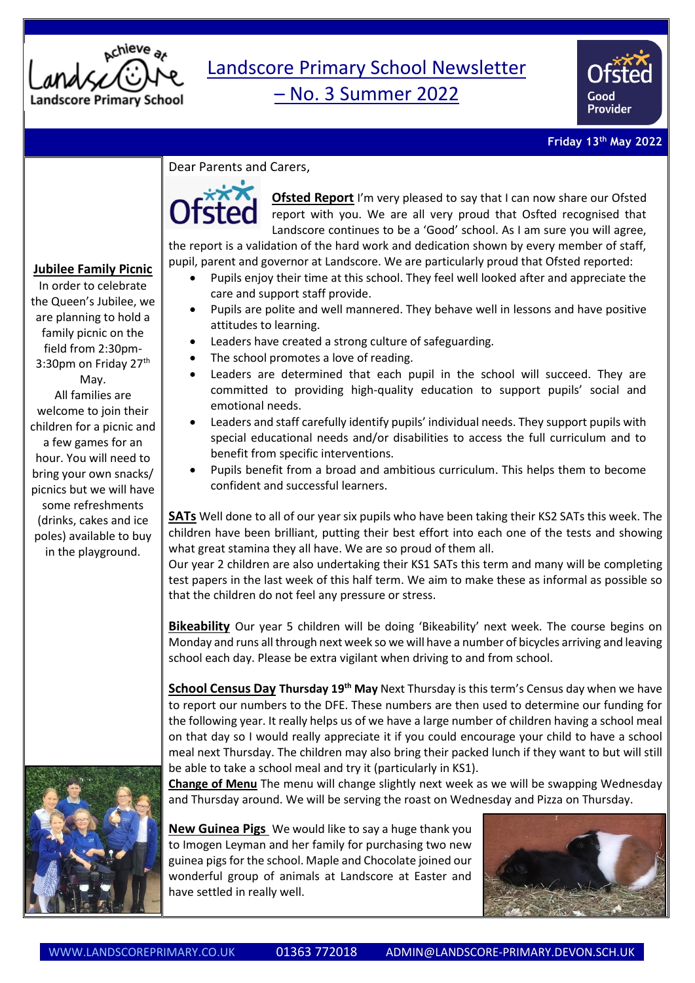

## Landscore Primary School Newsletter – No. 3 Summer 2022



## **Friday 13th May 2022**

## Dear Parents and Carers,



**Ofsted Report** I'm very pleased to say that I can now share our Ofsted report with you. We are all very proud that Osfted recognised that Landscore continues to be a 'Good' school. As I am sure you will agree,

the report is a validation of the hard work and dedication shown by every member of staff, pupil, parent and governor at Landscore. We are particularly proud that Ofsted reported:

- Pupils enjoy their time at this school. They feel well looked after and appreciate the care and support staff provide.
- Pupils are polite and well mannered. They behave well in lessons and have positive attitudes to learning.
- Leaders have created a strong culture of safeguarding.
- The school promotes a love of reading.
- Leaders are determined that each pupil in the school will succeed. They are committed to providing high-quality education to support pupils' social and emotional needs.
- Leaders and staff carefully identify pupils' individual needs. They support pupils with special educational needs and/or disabilities to access the full curriculum and to benefit from specific interventions.
- Pupils benefit from a broad and ambitious curriculum. This helps them to become confident and successful learners.

**SATs** Well done to all of our year six pupils who have been taking their KS2 SATs this week. The children have been brilliant, putting their best effort into each one of the tests and showing what great stamina they all have. We are so proud of them all.

Our year 2 children are also undertaking their KS1 SATs this term and many will be completing test papers in the last week of this half term. We aim to make these as informal as possible so that the children do not feel any pressure or stress.

**Bikeability** Our year 5 children will be doing 'Bikeability' next week. The course begins on Monday and runs all through next week so we will have a number of bicycles arriving and leaving school each day. Please be extra vigilant when driving to and from school.

**School Census Day Thursday 19th May** Next Thursday is this term's Census day when we have to report our numbers to the DFE. These numbers are then used to determine our funding for the following year. It really helps us of we have a large number of children having a school meal on that day so I would really appreciate it if you could encourage your child to have a school meal next Thursday. The children may also bring their packed lunch if they want to but will still be able to take a school meal and try it (particularly in KS1).

**Change of Menu** The menu will change slightly next week as we will be swapping Wednesday and Thursday around. We will be serving the roast on Wednesday and Pizza on Thursday.

**New Guinea Pigs** We would like to say a huge thank you to Imogen Leyman and her family for purchasing two new guinea pigsfor the school. Maple and Chocolate joined our wonderful group of animals at Landscore at Easter and have settled in really well.



## **Jubilee Family Picnic**

In order to celebrate the Queen's Jubilee, we are planning to hold a family picnic on the field from 2:30pm-3:30pm on Friday 27<sup>th</sup> May. All families are welcome to join their children for a picnic and a few games for an hour. You will need to bring your own snacks/ picnics but we will have some refreshments (drinks, cakes and ice poles) available to buy in the playground.